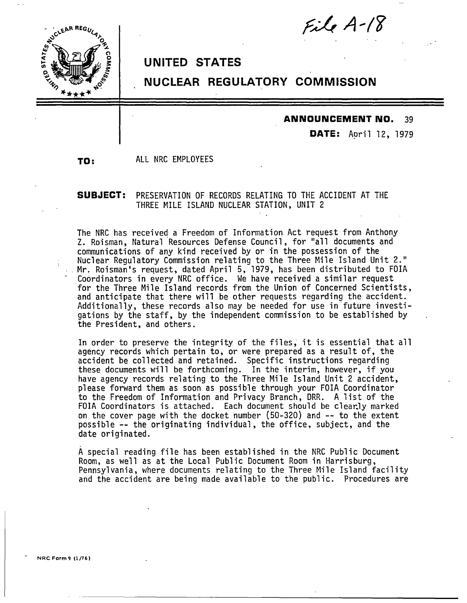



## **UNITED STATES**

# **NUCLEAR REGULATORY COMMISSION**

#### **ANNOUNCEMENT NO.** 39

**DATE:** April 12, 1979

**TO:** ALL NRC EMPLOYEES

### **SUBJECT:** PRESERVATION OF RECORDS RELATING TO THE ACCIDENT AT THE THREE MILE ISLAND NUCLEAR STATION, UNIT 2

The NRC has received a Freedom of Information Act request from Anthony Z. Reisman, Natural Resources Defense Council, for "all documents and communications of any kind received by or in the possession of the Nuclear Regulatory Commission relating to the Three Mile Island Unit 2." Mr. Roisman's request, dated April 5, 1979, has been distributed to FOIA Coordinators in every NRC office. We have received a similar request for the Three Mile Island records from the Union of Concerned Scientists, and anticipate that there wil1 be other requests regarding the accident. Additionally, these records also may be needed for use in.future investigations by the staff, by the independent commission to be established by the President, and others.

In order to preserve the integrity of the files," it is essential that all agency records which pertain to, or were prepared as a result of, the accident be collected and retained. Specific instructions regarding these documents will be forthcoming. In the interim, however, if you have agency records relating to the Three Mile Island Unit 2 accident, please forward them as soon as possible through your FOIA Coordinator to the Freedom of Information and Privacy Branch, ORR. A list of the FOIA Coordinators is attached. Each document should be clearJy marked on the cover page with the docket number (50-320) and -- to the extent possible -- the originating individual, the office, subject, and the date originated.

A special reading file has been established in the NRC Public Document Room, as well as at the Local Public Document Room in Harrisburg, Pennsylvania, where documents relating to the Three Mile Island facility and the accident are being made available to the public. Procedures are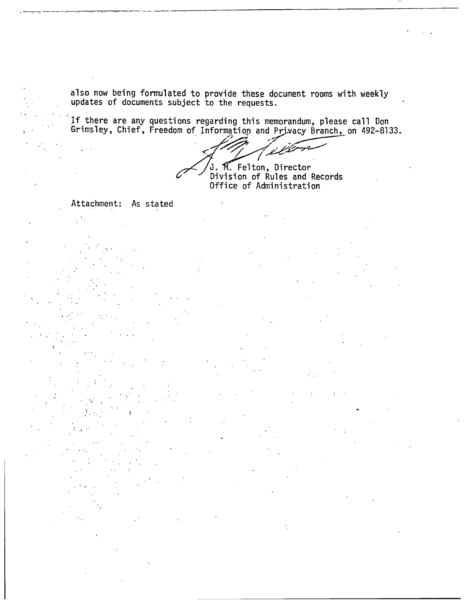also now being formulated to provide these document rooms with weekly updates of documents subject to the requests.

If there are any questions regarding this memorandum, please call Don<br>Grimsley, Chief, Freedom of Information and Privacy Branch, on 492-8133.

iú

M. Felton, Director Division of Rules and Records Office of Administration

Attachment: As stated